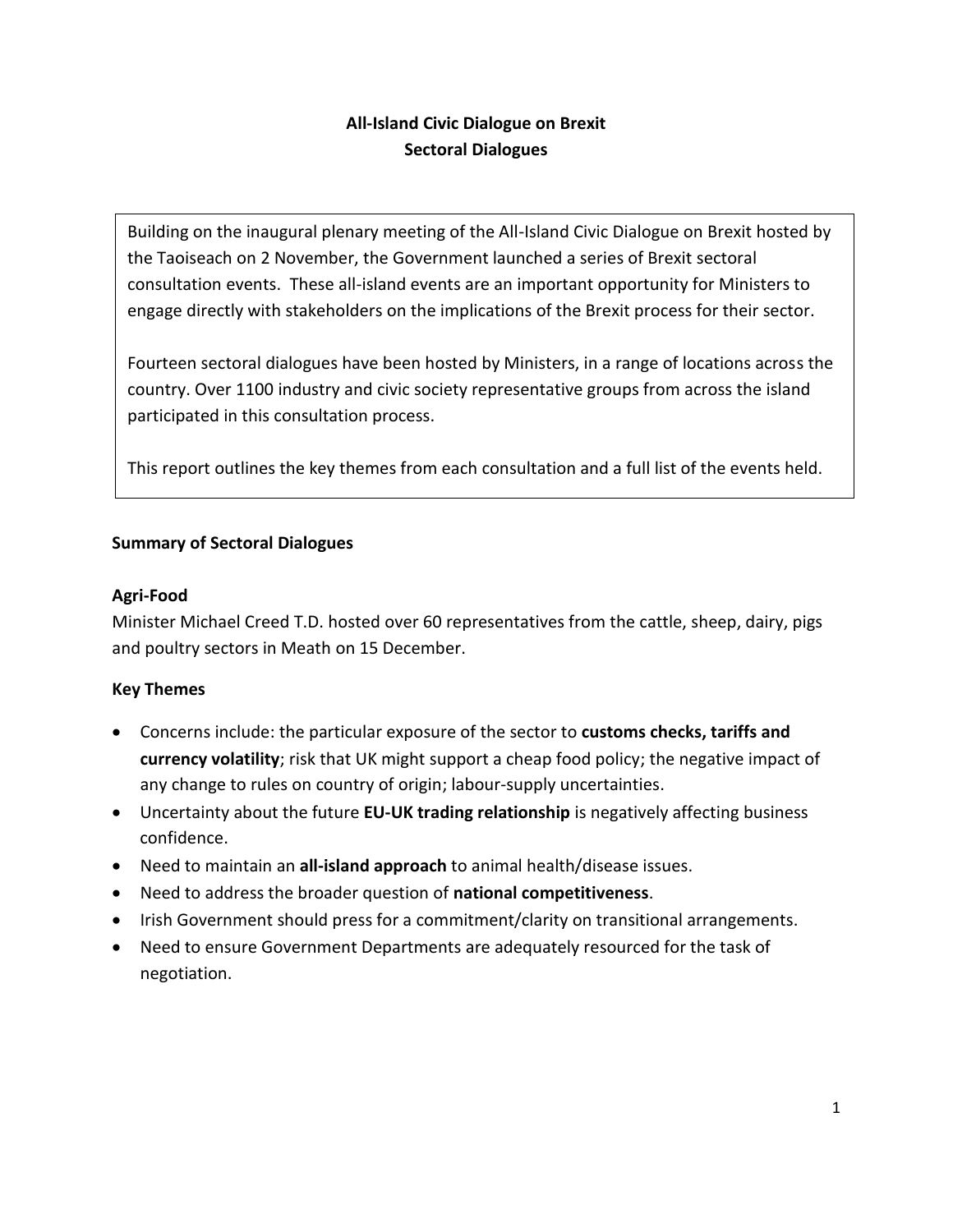# **All-Island Civic Dialogue on Brexit Sectoral Dialogues**

Building on the inaugural plenary meeting of the All-Island Civic Dialogue on Brexit hosted by the Taoiseach on 2 November, the Government launched a series of Brexit sectoral consultation events. These all-island events are an important opportunity for Ministers to engage directly with stakeholders on the implications of the Brexit process for their sector.

Fourteen sectoral dialogues have been hosted by Ministers, in a range of locations across the country. Over 1100 industry and civic society representative groups from across the island participated in this consultation process.

This report outlines the key themes from each consultation and a full list of the events held.

### **Summary of Sectoral Dialogues**

#### **Agri-Food**

Minister Michael Creed T.D. hosted over 60 representatives from the cattle, sheep, dairy, pigs and poultry sectors in Meath on 15 December.

- Concerns include: the particular exposure of the sector to **customs checks, tariffs and currency volatility**; risk that UK might support a cheap food policy; the negative impact of any change to rules on country of origin; labour-supply uncertainties.
- Uncertainty about the future **EU-UK trading relationship** is negatively affecting business confidence.
- Need to maintain an **all-island approach** to animal health/disease issues.
- Need to address the broader question of **national competitiveness**.
- Irish Government should press for a commitment/clarity on transitional arrangements.
- Need to ensure Government Departments are adequately resourced for the task of negotiation.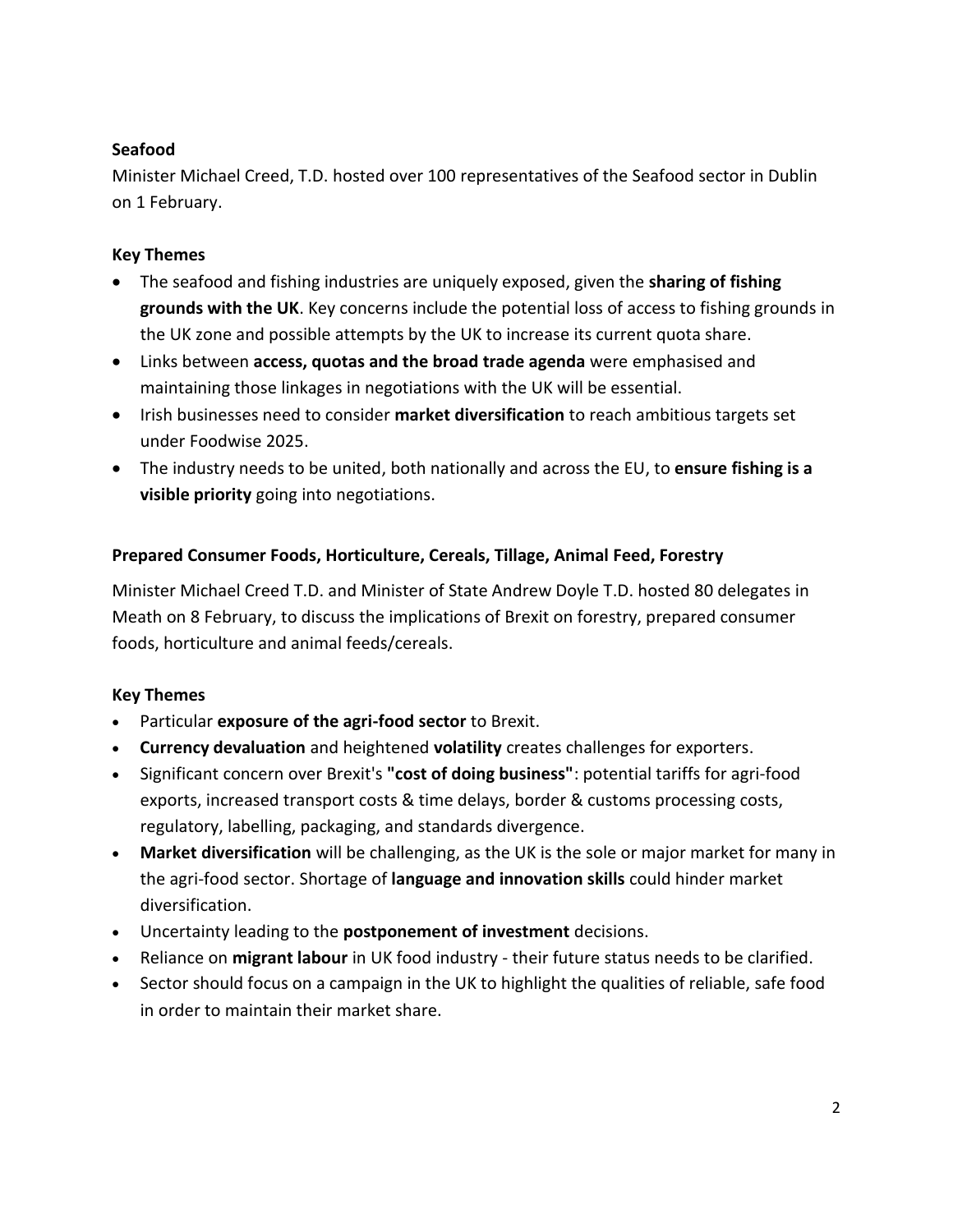### **Seafood**

Minister Michael Creed, T.D. hosted over 100 representatives of the Seafood sector in Dublin on 1 February.

### **Key Themes**

- The seafood and fishing industries are uniquely exposed, given the **sharing of fishing grounds with the UK**. Key concerns include the potential loss of access to fishing grounds in the UK zone and possible attempts by the UK to increase its current quota share.
- Links between **access, quotas and the broad trade agenda** were emphasised and maintaining those linkages in negotiations with the UK will be essential.
- Irish businesses need to consider **market diversification** to reach ambitious targets set under Foodwise 2025.
- The industry needs to be united, both nationally and across the EU, to **ensure fishing is a visible priority** going into negotiations.

## **Prepared Consumer Foods, Horticulture, Cereals, Tillage, Animal Feed, Forestry**

Minister Michael Creed T.D. and Minister of State Andrew Doyle T.D. hosted 80 delegates in Meath on 8 February, to discuss the implications of Brexit on forestry, prepared consumer foods, horticulture and animal feeds/cereals.

- Particular **exposure of the agri-food sector** to Brexit.
- **Currency devaluation** and heightened **volatility** creates challenges for exporters.
- Significant concern over Brexit's **"cost of doing business"**: potential tariffs for agri-food exports, increased transport costs & time delays, border & customs processing costs, regulatory, labelling, packaging, and standards divergence.
- **Market diversification** will be challenging, as the UK is the sole or major market for many in the agri-food sector. Shortage of **language and innovation skills** could hinder market diversification.
- Uncertainty leading to the **postponement of investment** decisions.
- Reliance on **migrant labour** in UK food industry their future status needs to be clarified.
- Sector should focus on a campaign in the UK to highlight the qualities of reliable, safe food in order to maintain their market share.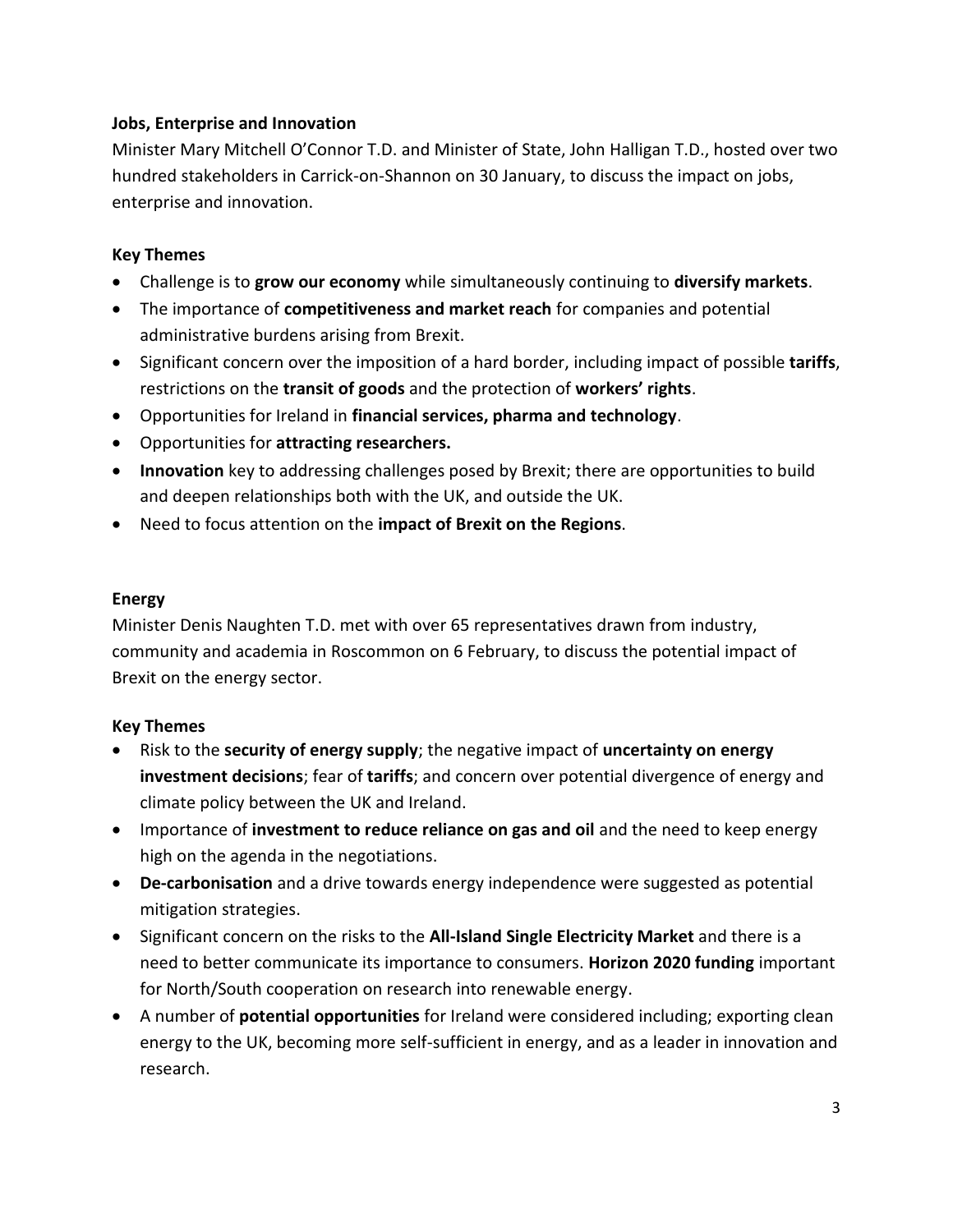#### **Jobs, Enterprise and Innovation**

Minister Mary Mitchell O'Connor T.D. and Minister of State, John Halligan T.D., hosted over two hundred stakeholders in Carrick-on-Shannon on 30 January, to discuss the impact on jobs, enterprise and innovation.

#### **Key Themes**

- Challenge is to **grow our economy** while simultaneously continuing to **diversify markets**.
- The importance of **competitiveness and market reach** for companies and potential administrative burdens arising from Brexit.
- Significant concern over the imposition of a hard border, including impact of possible **tariffs**, restrictions on the **transit of goods** and the protection of **workers' rights**.
- Opportunities for Ireland in **financial services, pharma and technology**.
- Opportunities for **attracting researchers.**
- **Innovation** key to addressing challenges posed by Brexit; there are opportunities to build and deepen relationships both with the UK, and outside the UK.
- Need to focus attention on the **impact of Brexit on the Regions**.

#### **Energy**

Minister Denis Naughten T.D. met with over 65 representatives drawn from industry, community and academia in Roscommon on 6 February, to discuss the potential impact of Brexit on the energy sector.

- Risk to the **security of energy supply**; the negative impact of **uncertainty on energy investment decisions**; fear of **tariffs**; and concern over potential divergence of energy and climate policy between the UK and Ireland.
- Importance of **investment to reduce reliance on gas and oil** and the need to keep energy high on the agenda in the negotiations.
- **De-carbonisation** and a drive towards energy independence were suggested as potential mitigation strategies.
- Significant concern on the risks to the **All-Island Single Electricity Market** and there is a need to better communicate its importance to consumers. **Horizon 2020 funding** important for North/South cooperation on research into renewable energy.
- A number of **potential opportunities** for Ireland were considered including; exporting clean energy to the UK, becoming more self-sufficient in energy, and as a leader in innovation and research.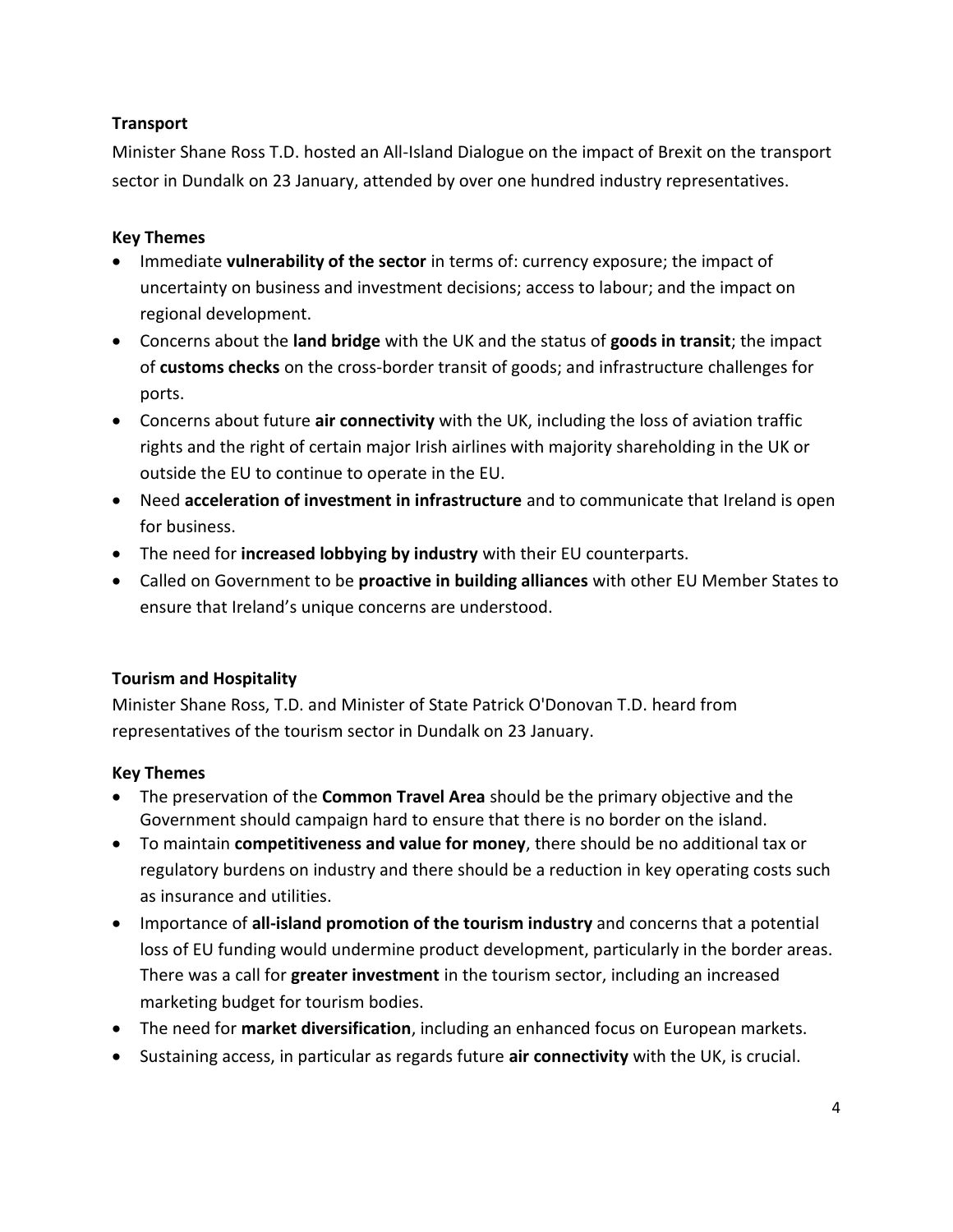### **Transport**

Minister Shane Ross T.D. hosted an All-Island Dialogue on the impact of Brexit on the transport sector in Dundalk on 23 January, attended by over one hundred industry representatives.

### **Key Themes**

- **IMMED 10** Immediate **vulnerability of the sector** in terms of: currency exposure; the impact of uncertainty on business and investment decisions; access to labour; and the impact on regional development.
- Concerns about the **land bridge** with the UK and the status of **goods in transit**; the impact of **customs checks** on the cross-border transit of goods; and infrastructure challenges for ports.
- Concerns about future **air connectivity** with the UK, including the loss of aviation traffic rights and the right of certain major Irish airlines with majority shareholding in the UK or outside the EU to continue to operate in the EU.
- Need **acceleration of investment in infrastructure** and to communicate that Ireland is open for business.
- The need for **increased lobbying by industry** with their EU counterparts.
- Called on Government to be **proactive in building alliances** with other EU Member States to ensure that Ireland's unique concerns are understood.

## **Tourism and Hospitality**

Minister Shane Ross, T.D. and Minister of State Patrick O'Donovan T.D. heard from representatives of the tourism sector in Dundalk on 23 January.

- The preservation of the **Common Travel Area** should be the primary objective and the Government should campaign hard to ensure that there is no border on the island.
- To maintain **competitiveness and value for money**, there should be no additional tax or regulatory burdens on industry and there should be a reduction in key operating costs such as insurance and utilities.
- Importance of **all-island promotion of the tourism industry** and concerns that a potential loss of EU funding would undermine product development, particularly in the border areas. There was a call for **greater investment** in the tourism sector, including an increased marketing budget for tourism bodies.
- The need for **market diversification**, including an enhanced focus on European markets.
- Sustaining access, in particular as regards future **air connectivity** with the UK, is crucial.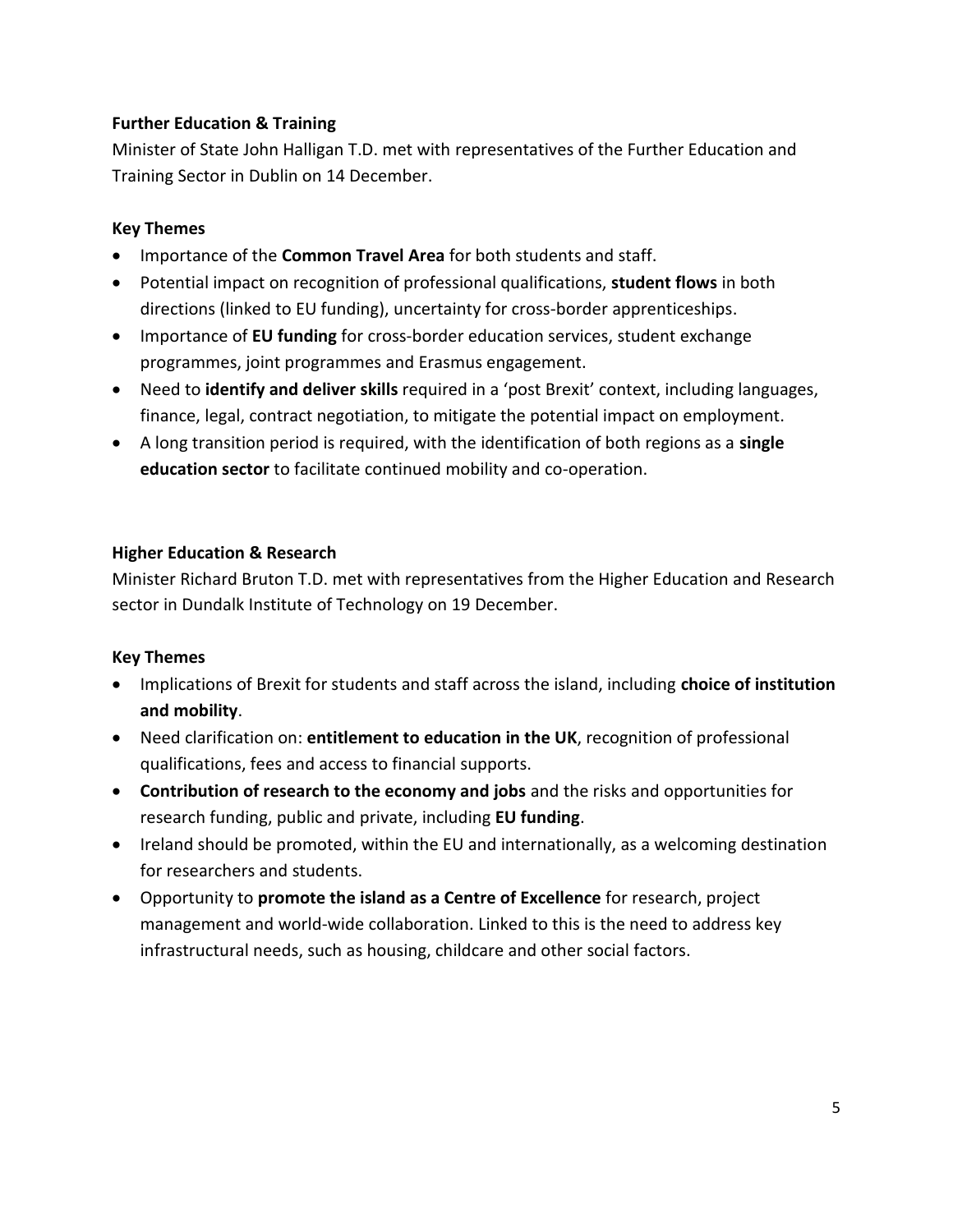### **Further Education & Training**

Minister of State John Halligan T.D. met with representatives of the Further Education and Training Sector in Dublin on 14 December.

### **Key Themes**

- **IMPORTANCE OF the Common Travel Area** for both students and staff.
- Potential impact on recognition of professional qualifications, **student flows** in both directions (linked to EU funding), uncertainty for cross-border apprenticeships.
- Importance of **EU funding** for cross-border education services, student exchange programmes, joint programmes and Erasmus engagement.
- Need to **identify and deliver skills** required in a 'post Brexit' context, including languages, finance, legal, contract negotiation, to mitigate the potential impact on employment.
- A long transition period is required, with the identification of both regions as a **single education sector** to facilitate continued mobility and co-operation.

### **Higher Education & Research**

Minister Richard Bruton T.D. met with representatives from the Higher Education and Research sector in Dundalk Institute of Technology on 19 December.

- Implications of Brexit for students and staff across the island, including **choice of institution and mobility**.
- Need clarification on: **entitlement to education in the UK**, recognition of professional qualifications, fees and access to financial supports.
- **Contribution of research to the economy and jobs** and the risks and opportunities for research funding, public and private, including **EU funding**.
- Ireland should be promoted, within the EU and internationally, as a welcoming destination for researchers and students.
- Opportunity to **promote the island as a Centre of Excellence** for research, project management and world-wide collaboration. Linked to this is the need to address key infrastructural needs, such as housing, childcare and other social factors.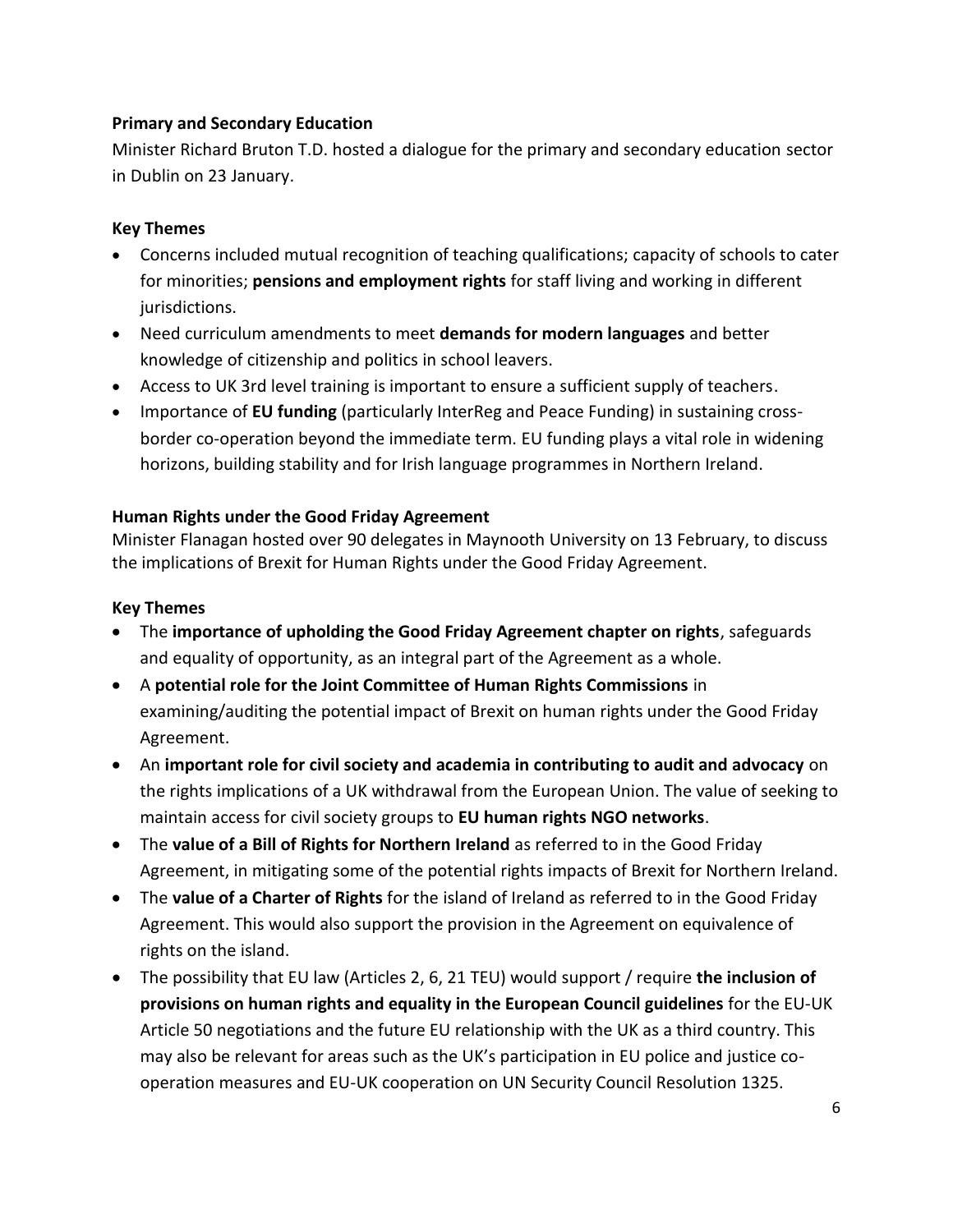### **Primary and Secondary Education**

Minister Richard Bruton T.D. hosted a dialogue for the primary and secondary education sector in Dublin on 23 January.

#### **Key Themes**

- Concerns included mutual recognition of teaching qualifications; capacity of schools to cater for minorities; **pensions and employment rights** for staff living and working in different jurisdictions.
- Need curriculum amendments to meet **demands for modern languages** and better knowledge of citizenship and politics in school leavers.
- Access to UK 3rd level training is important to ensure a sufficient supply of teachers.
- Importance of **EU funding** (particularly InterReg and Peace Funding) in sustaining crossborder co-operation beyond the immediate term. EU funding plays a vital role in widening horizons, building stability and for Irish language programmes in Northern Ireland.

#### **Human Rights under the Good Friday Agreement**

Minister Flanagan hosted over 90 delegates in Maynooth University on 13 February, to discuss the implications of Brexit for Human Rights under the Good Friday Agreement.

- The **importance of upholding the Good Friday Agreement chapter on rights**, safeguards and equality of opportunity, as an integral part of the Agreement as a whole.
- A **potential role for the Joint Committee of Human Rights Commissions** in examining/auditing the potential impact of Brexit on human rights under the Good Friday Agreement.
- An **important role for civil society and academia in contributing to audit and advocacy** on the rights implications of a UK withdrawal from the European Union. The value of seeking to maintain access for civil society groups to **EU human rights NGO networks**.
- The **value of a Bill of Rights for Northern Ireland** as referred to in the Good Friday Agreement, in mitigating some of the potential rights impacts of Brexit for Northern Ireland.
- The **value of a Charter of Rights** for the island of Ireland as referred to in the Good Friday Agreement. This would also support the provision in the Agreement on equivalence of rights on the island.
- The possibility that EU law (Articles 2, 6, 21 TEU) would support / require **the inclusion of provisions on human rights and equality in the European Council guidelines** for the EU-UK Article 50 negotiations and the future EU relationship with the UK as a third country. This may also be relevant for areas such as the UK's participation in EU police and justice cooperation measures and EU-UK cooperation on UN Security Council Resolution 1325.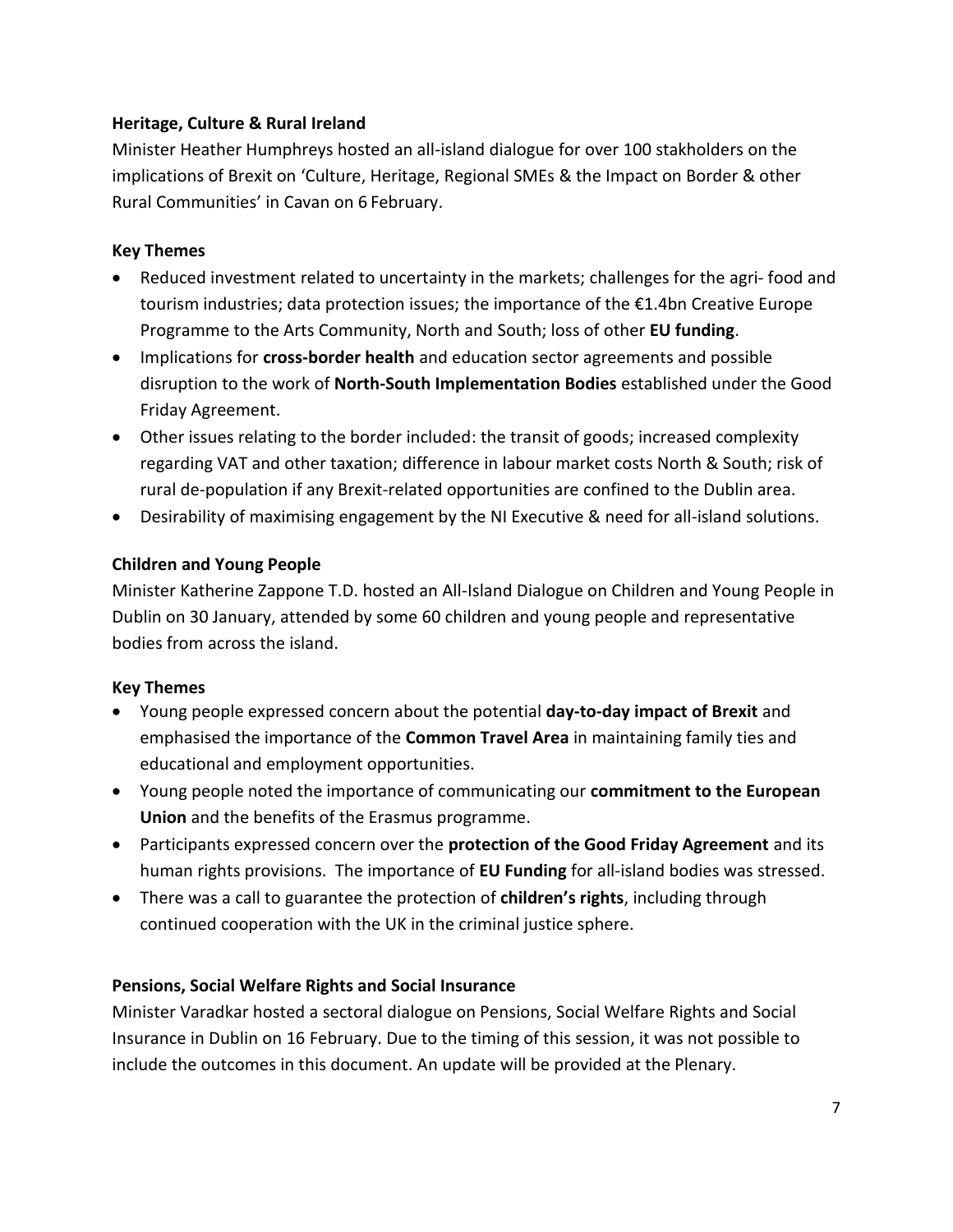### **Heritage, Culture & Rural Ireland**

Minister Heather Humphreys hosted an all-island dialogue for over 100 stakholders on the implications of Brexit on 'Culture, Heritage, Regional SMEs & the Impact on Border & other Rural Communities' in Cavan on 6 February.

## **Key Themes**

- Reduced investment related to uncertainty in the markets; challenges for the agri-food and tourism industries; data protection issues; the importance of the €1.4bn Creative Europe Programme to the Arts Community, North and South; loss of other **EU funding**.
- Implications for **cross-border health** and education sector agreements and possible disruption to the work of **North-South Implementation Bodies** established under the Good Friday Agreement.
- Other issues relating to the border included: the transit of goods; increased complexity regarding VAT and other taxation; difference in labour market costs North & South; risk of rural de-population if any Brexit-related opportunities are confined to the Dublin area.
- Desirability of maximising engagement by the NI Executive & need for all-island solutions.

## **Children and Young People**

Minister Katherine Zappone T.D. hosted an All-Island Dialogue on Children and Young People in Dublin on 30 January, attended by some 60 children and young people and representative bodies from across the island.

## **Key Themes**

- Young people expressed concern about the potential **day-to-day impact of Brexit** and emphasised the importance of the **Common Travel Area** in maintaining family ties and educational and employment opportunities.
- Young people noted the importance of communicating our **commitment to the European Union** and the benefits of the Erasmus programme.
- Participants expressed concern over the **protection of the Good Friday Agreement** and its human rights provisions. The importance of **EU Funding** for all-island bodies was stressed.
- There was a call to guarantee the protection of **children's rights**, including through continued cooperation with the UK in the criminal justice sphere.

### **Pensions, Social Welfare Rights and Social Insurance**

Minister Varadkar hosted a sectoral dialogue on Pensions, Social Welfare Rights and Social Insurance in Dublin on 16 February. Due to the timing of this session, it was not possible to include the outcomes in this document. An update will be provided at the Plenary.